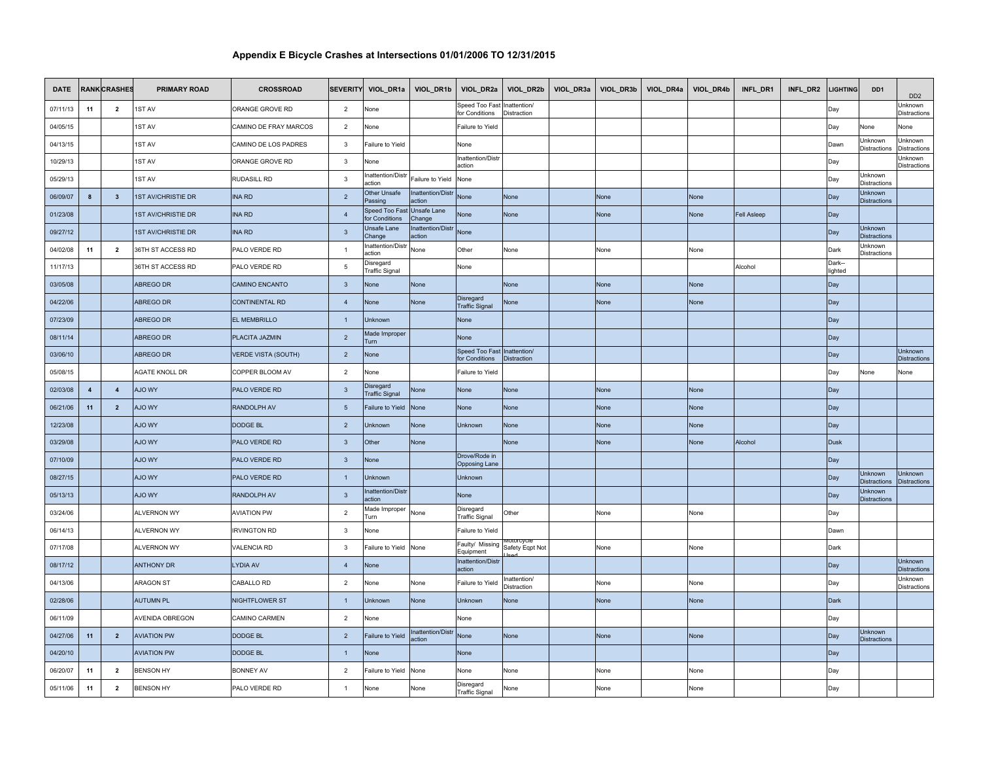| <b>DATE</b> |                         | <b>RANK CRASHES</b>     | <b>PRIMARY ROAD</b>       | <b>CROSSROAD</b>           |                         | SEVERITY VIOL_DR1a VIOL_DR1b       |                             | VIOL_DR2a                             |                                    | VIOL_DR2b   VIOL_DR3a   VIOL_DR3b   VIOL_DR4a   VIOL_DR4b |             | INFL_DR1    | INFL_DR2 | <b>LIGHTING</b>   | DD <sub>1</sub>                       | D <sub>D</sub> <sub>2</sub>           |
|-------------|-------------------------|-------------------------|---------------------------|----------------------------|-------------------------|------------------------------------|-----------------------------|---------------------------------------|------------------------------------|-----------------------------------------------------------|-------------|-------------|----------|-------------------|---------------------------------------|---------------------------------------|
| 07/11/13    | 11                      | $\overline{2}$          | 1ST AV                    | ORANGE GROVE RD            | $\overline{2}$          | None                               |                             | Speed Too Fas<br>for Conditions       | hattention/<br>Distraction         |                                                           |             |             |          | Day               |                                       | Jnknown<br>Distractions               |
| 04/05/15    |                         |                         | 1ST AV                    | CAMINO DE FRAY MARCOS      | $\overline{2}$          | Vone                               |                             | Failure to Yield                      |                                    |                                                           |             |             |          | Day               | Vone                                  | Vone                                  |
| 04/13/15    |                         |                         | 1ST AV                    | CAMINO DE LOS PADRES       | $\mathbf{3}$            | Failure to Yield                   |                             | None                                  |                                    |                                                           |             |             |          | Dawn              | Unknown<br>Distractions               | Jnknown<br>Distractions               |
| 10/29/13    |                         |                         | 1ST AV                    | ORANGE GROVE RD            | $\overline{\mathbf{3}}$ | None                               |                             | Inattention/Distr<br>action           |                                    |                                                           |             |             |          | Day               |                                       | Unknown<br>Distractions               |
| 05/29/13    |                         |                         | 1ST AV                    | RUDASILL RD                | $\overline{\mathbf{3}}$ | nattention/Distr<br>action         | Failure to Yield            | None                                  |                                    |                                                           |             |             |          | Day               | Jnknown<br>Distractions               |                                       |
| 06/09/07    | 8                       | $\mathbf{3}$            | <b>1ST AV/CHRISTIE DR</b> | <b>INA RD</b>              | $\overline{2}$          | Other Unsafe<br>assing             | Inattention/Distr<br>ction  | None                                  | None                               | None                                                      | None        |             |          | Day               | Jnknown<br><b>Distractions</b>        |                                       |
| 01/23/08    |                         |                         | <b>1ST AV/CHRISTIE DR</b> | <b>INA RD</b>              | $\overline{A}$          | Speed Too Fast<br>or Conditions    | Unsafe Lane<br>Change       | None                                  | None                               | None                                                      | None        | Fell Asleep |          | Day               |                                       |                                       |
| 09/27/12    |                         |                         | <b>1ST AV/CHRISTIE DR</b> | <b>INA RD</b>              | $\overline{\mathbf{3}}$ | Jnsafe Lane<br>Change              | Inattention/Distr<br>action | None                                  |                                    |                                                           |             |             |          | Day               | Unknown<br><b>Distractions</b>        |                                       |
| 04/02/08    | 11                      | $\overline{2}$          | 36TH ST ACCESS RD         | PALO VERDE RD              | $\overline{1}$          | nattention/Distr<br>action         | None                        | Other                                 | None                               | None                                                      | None        |             |          | Dark              | Jnknown<br><b>Distractions</b>        |                                       |
| 11/17/13    |                         |                         | 36TH ST ACCESS RD         | PALO VERDE RD              | 5                       | )isregard<br>Traffic Signal        |                             | None                                  |                                    |                                                           |             | Alcohol     |          | Dark--<br>lighted |                                       |                                       |
| 03/05/08    |                         |                         | ABREGO DR                 | <b>CAMINO ENCANTO</b>      | $\overline{\mathbf{3}}$ | None                               | None                        |                                       | <b>None</b>                        | None                                                      | <b>None</b> |             |          | Day               |                                       |                                       |
| 04/22/06    |                         |                         | ABREGO DR                 | <b>CONTINENTAL RD</b>      | $\overline{4}$          | None                               | None                        | Disregard<br><b>Traffic Signal</b>    | None                               | None                                                      | None        |             |          | Day               |                                       |                                       |
| 07/23/09    |                         |                         | ABREGO DR                 | <b>EL MEMBRILLO</b>        | $\overline{1}$          | Unknown                            |                             | None                                  |                                    |                                                           |             |             |          | Day               |                                       |                                       |
| 08/11/14    |                         |                         | ABREGO DR                 | PLACITA JAZMIN             | $\overline{2}$          | Made Improper<br>Turn              |                             | None                                  |                                    |                                                           |             |             |          | Day               |                                       |                                       |
| 03/06/10    |                         |                         | ABREGO DR                 | <b>VERDE VISTA (SOUTH)</b> | $\overline{2}$          | None                               |                             | Speed Too Fast<br>for Conditions      | Inattention/<br><b>Distraction</b> |                                                           |             |             |          | Day               |                                       | Unknown<br><b>Distractions</b>        |
| 05/08/15    |                         |                         | AGATE KNOLL DR            | COPPER BLOOM AV            | $\overline{2}$          | Vone                               |                             | Failure to Yield                      |                                    |                                                           |             |             |          | Day               | None                                  | None                                  |
| 02/03/08    | $\overline{\mathbf{4}}$ | $\overline{4}$          | AJO WY                    | PALO VERDE RD              | $\overline{\mathbf{3}}$ | Disregard<br><b>Traffic Signal</b> | None                        | None                                  | None                               | None                                                      | None        |             |          | Day               |                                       |                                       |
| 06/21/06    | 11                      | $\overline{2}$          | AJO WY                    | RANDOLPH AV                | $5\phantom{.0}$         | Failure to Yield                   | None                        | None                                  | None                               | None                                                      | None        |             |          | Day               |                                       |                                       |
| 12/23/08    |                         |                         | <b>AJO WY</b>             | <b>DODGE BL</b>            | $\overline{2}$          | <b>Jnknown</b>                     | None                        | Unknown                               | None                               | None                                                      | None        |             |          | Day               |                                       |                                       |
| 03/29/08    |                         |                         | AJO WY                    | PALO VERDE RD              | $\overline{3}$          | Other                              | None                        |                                       | None                               | None                                                      | None        | Alcohol     |          | <b>Dusk</b>       |                                       |                                       |
| 07/10/09    |                         |                         | <b>YW OLA</b>             | PALO VERDE RD              | $\mathbf{3}$            | None                               |                             | Drove/Rode in<br><b>Opposing Lane</b> |                                    |                                                           |             |             |          | Day               |                                       |                                       |
| 08/27/15    |                         |                         | <b>AJO WY</b>             | PALO VERDE RD              | $\overline{1}$          | <b>Jnknown</b>                     |                             | Unknown                               |                                    |                                                           |             |             |          | Day               | Jnknown<br><b>Distractions</b>        | Unknown<br><b>Distractions</b>        |
| 05/13/13    |                         |                         | <b>AJO WY</b>             | <b>RANDOLPH AV</b>         | $\overline{\mathbf{3}}$ | nattention/Distr<br>ction          |                             | None                                  |                                    |                                                           |             |             |          | Day               | Jnknown<br><b>Distractions</b>        |                                       |
| 03/24/06    |                         |                         | <b>ALVERNON WY</b>        | <b>AVIATION PW</b>         | $\overline{2}$          | Made Improper<br>Turn              | None                        | Disregard<br><b>Traffic Signal</b>    | Other                              | None                                                      | None        |             |          | Day               |                                       |                                       |
| 06/14/13    |                         |                         | ALVERNON WY               | <b>IRVINGTON RD</b>        | $\mathbf{3}$            | Vone                               |                             | Failure to Yield                      |                                    |                                                           |             |             |          | Dawn              |                                       |                                       |
| 07/17/08    |                         |                         | <b>ALVERNON WY</b>        | <b>VALENCIA RD</b>         | $\mathbf{3}$            | Failure to Yield None              |                             | Faulty/ Missing<br>Equipment          | Safety Eqpt Not                    | None                                                      | None        |             |          | Dark              |                                       |                                       |
| 08/17/12    |                         |                         | <b>ANTHONY DR</b>         | <b>LYDIA AV</b>            | $\overline{4}$          | None                               |                             | <b>Inattention/Distr</b><br>action    |                                    |                                                           |             |             |          | Day               |                                       | <b>Jnknown</b><br><b>Distractions</b> |
| 04/13/06    |                         |                         | <b>ARAGON ST</b>          | CABALLO RD                 | $\overline{2}$          | None                               | None                        | Failure to Yield                      | nattention/<br>Distraction         | None                                                      | None        |             |          | Day               |                                       | <b>Jnknown</b><br><b>Distractions</b> |
| 02/28/06    |                         |                         | AUTUMN PL                 | NIGHTFLOWER ST             | $\overline{1}$          | <b>Jnknown</b>                     | None                        | Unknown                               | None                               | None                                                      | None        |             |          | Dark              |                                       |                                       |
| 06/11/09    |                         |                         | AVENIDA OBREGON           | <b>CAMINO CARMEN</b>       | $\overline{2}$          | None                               |                             | None                                  |                                    |                                                           |             |             |          | Day               |                                       |                                       |
| 04/27/06    | 11                      | $\overline{2}$          | <b>AVIATION PW</b>        | <b>DODGE BL</b>            | $\overline{2}$          | ailure to Yield                    | Inattention/Distr<br>action | None                                  | None                               | None                                                      | None        |             |          | Day               | <b>Jnknown</b><br><b>Distractions</b> |                                       |
| 04/20/10    |                         |                         | <b>AVIATION PW</b>        | <b>DODGE BL</b>            | $\overline{1}$          | None                               |                             | None                                  |                                    |                                                           |             |             |          | Day               |                                       |                                       |
| 06/20/07    | 11                      | $\overline{2}$          | <b>BENSON HY</b>          | <b>BONNEY AV</b>           | $\overline{2}$          | ailure to Yield                    | None                        | None                                  | None                               | None                                                      | None        |             |          | Day               |                                       |                                       |
| 05/11/06    | 11                      | $\overline{\mathbf{2}}$ | <b>BENSON HY</b>          | PALO VERDE RD              | $\mathbf{1}$            | None                               | None                        | Disregard<br><b>Traffic Signal</b>    | None                               | None                                                      | None        |             |          | Day               |                                       |                                       |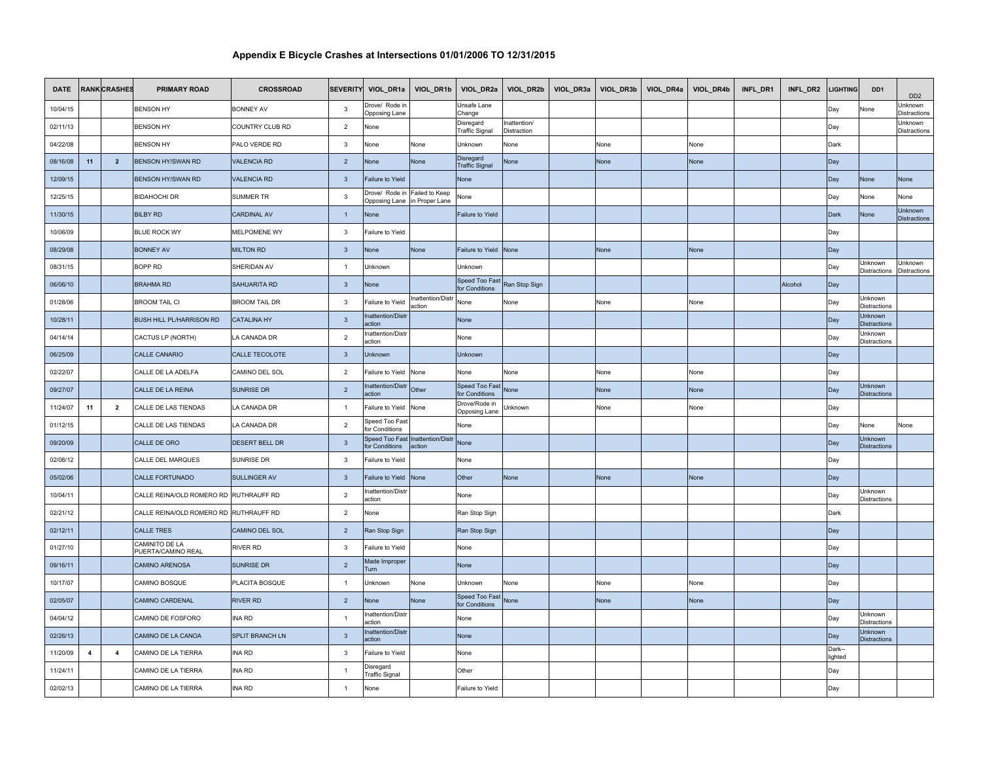| <b>DATE</b> |                         | <b>RANK CRASHES</b> | <b>PRIMARY ROAD</b>                  | <b>CROSSROAD</b>     |                         |                                 | SEVERITY VIOL_DR1a VIOL_DR1b VIOL_DR2a         |                                    |                             | VIOL_DR2b   VIOL_DR3a   VIOL_DR3b   VIOL_DR4a | VIOL_DR4b   | INFL_DR1 | INFL_DR2 | <b>LIGHTING</b>   | DD <sub>1</sub>                       | DD <sub>2</sub>                |
|-------------|-------------------------|---------------------|--------------------------------------|----------------------|-------------------------|---------------------------------|------------------------------------------------|------------------------------------|-----------------------------|-----------------------------------------------|-------------|----------|----------|-------------------|---------------------------------------|--------------------------------|
| 10/04/15    |                         |                     | <b>BENSON HY</b>                     | <b>BONNEY AV</b>     | $\mathbf{3}$            | )rove/ Rode i<br>Opposing Lane  |                                                | Jnsafe Lane<br>Change              |                             |                                               |             |          |          | Day               | None                                  | Jnknown<br>Distractions        |
| 02/11/13    |                         |                     | <b>BENSON HY</b>                     | COUNTRY CLUB RD      | $\overline{2}$          | None                            |                                                | Disregard<br>Fraffic Signal        | Inattention/<br>Distraction |                                               |             |          |          | Day               |                                       | Unknown<br>Distractions        |
| 04/22/08    |                         |                     | <b>BENSON HY</b>                     | PALO VERDE RD        | $\mathbf{3}$            | None                            | None                                           | Jnknown                            | None                        | None                                          | None        |          |          | Dark              |                                       |                                |
| 08/16/08    | 11                      | $\overline{2}$      | <b>BENSON HY/SWAN RD</b>             | <b>VALENCIA RD</b>   | $\overline{2}$          | None                            | None                                           | Disregard<br><b>Traffic Signal</b> | None                        | None                                          | None        |          |          | Day               |                                       |                                |
| 12/09/15    |                         |                     | <b>BENSON HY/SWAN RD</b>             | <b>VALENCIA RD</b>   | $\overline{\mathbf{3}}$ | Failure to Yield                |                                                | None                               |                             |                                               |             |          |          | Day               | None                                  | <b>None</b>                    |
| 12/25/15    |                         |                     | <b>BIDAHOCHI DR</b>                  | SUMMER TR            | $\mathbf{3}$            | Drove/ Rode in                  | Failed to Keep<br>Opposing Lane in Proper Lane | lone                               |                             |                                               |             |          |          | Day               | None                                  | None                           |
| 11/30/15    |                         |                     | <b>BILBY RD</b>                      | <b>CARDINAL AV</b>   | $\overline{1}$          | None                            |                                                | <b>Failure to Yield</b>            |                             |                                               |             |          |          | Dark              | None                                  | Unknown<br><b>Distractions</b> |
| 10/06/09    |                         |                     | <b>BLUE ROCK WY</b>                  | MELPOMENE WY         | $\overline{\mathbf{3}}$ | ailure to Yield                 |                                                |                                    |                             |                                               |             |          |          | Day               |                                       |                                |
| 08/29/08    |                         |                     | <b>BONNEY AV</b>                     | <b>MILTON RD</b>     | $\mathbf{3}$            | None                            | <b>None</b>                                    | ailure to Yield                    | None                        | <b>None</b>                                   | <b>None</b> |          |          | Day               |                                       |                                |
| 08/31/15    |                         |                     | BOPP RD                              | SHERIDAN AV          | $\overline{1}$          | Jnknown                         |                                                | Jnknown                            |                             |                                               |             |          |          | Day               | Jnknown<br>Distractions               | Unknown<br><b>Distractions</b> |
| 06/06/10    |                         |                     | <b>BRAHMA RD</b>                     | SAHUARITA RD         | $\overline{\mathbf{3}}$ | None                            |                                                | Speed Too Fast<br>or Conditions    | Ran Stop Sign               |                                               |             |          | Alcohol  | Day               |                                       |                                |
| 01/28/06    |                         |                     | <b>BROOM TAIL CI</b>                 | <b>BROOM TAIL DR</b> | $\mathbf{3}$            | ailure to Yield                 | Inattention/Distr<br>action                    | None                               | None                        | None                                          | None        |          |          | Day               | Unknown<br>Distractions               |                                |
| 10/28/11    |                         |                     | <b>BUSH HILL PL/HARRISON RD</b>      | <b>CATALINA HY</b>   | $\overline{\mathbf{3}}$ | nattention/Dist<br>iction       |                                                | None                               |                             |                                               |             |          |          | Day               | Unknown<br><b>Distractions</b>        |                                |
| 04/14/14    |                         |                     | CACTUS LP (NORTH)                    | LA CANADA DR         | $\overline{2}$          | attention/Distr<br>action       |                                                | None                               |                             |                                               |             |          |          | Day               | Jnknown<br>Distractions               |                                |
| 06/25/09    |                         |                     | CALLE CANARIO                        | CALLE TECOLOTE       | $\overline{\mathbf{3}}$ | Unknown                         |                                                | <b>Jnknown</b>                     |                             |                                               |             |          |          | Day               |                                       |                                |
| 02/22/07    |                         |                     | CALLE DE LA ADELFA                   | CAMINO DEL SOL       | $\overline{2}$          | Failure to Yield None           |                                                | None                               | None                        | None                                          | None        |          |          | Day               |                                       |                                |
| 09/27/07    |                         |                     | CALLE DE LA REINA                    | SUNRISE DR           | $\overline{2}$          | nattention/Dist<br>ction        | Other                                          | Speed Too Fast<br>or Conditions    | None                        | None                                          | None        |          |          | Day               | <b>Unknown</b><br><b>Distractions</b> |                                |
| 11/24/07    | 11                      | $\overline{2}$      | CALLE DE LAS TIENDAS                 | LA CANADA DR         | $\overline{1}$          | Failure to Yield None           |                                                | )rove/Rode in<br>Opposing Lane     | Unknown                     | None                                          | None        |          |          | Day               |                                       |                                |
| 01/12/15    |                         |                     | CALLE DE LAS TIENDAS                 | A CANADA DR          | $\overline{2}$          | Speed Too Fast<br>or Conditions |                                                | Vone                               |                             |                                               |             |          |          | Day               | None                                  | None                           |
| 09/20/09    |                         |                     | CALLE DE ORO                         | DESERT BELL DR       | $\overline{\mathbf{3}}$ | or Conditions                   | Speed Too Fast Inattention/Distr<br>action     | <b>None</b>                        |                             |                                               |             |          |          | Day               | Unknown<br><b>Distractions</b>        |                                |
| 02/08/12    |                         |                     | CALLE DEL MARQUES                    | SUNRISE DR           | $\mathbf{3}$            | ailure to Yield                 |                                                | None                               |                             |                                               |             |          |          | Day               |                                       |                                |
| 05/02/06    |                         |                     | <b>CALLE FORTUNADO</b>               | SULLINGER AV         | $\overline{\mathbf{3}}$ | Failure to Yield None           |                                                | Other                              | None                        | None                                          | None        |          |          | Day               |                                       |                                |
| 10/04/11    |                         |                     | CALLE REINA/OLD ROMERO RD            | <b>RUTHRAUFF RD</b>  | $\overline{2}$          | attention/Distr<br>ction        |                                                | None                               |                             |                                               |             |          |          | Day               | Unknown<br><b>Distractions</b>        |                                |
| 02/21/12    |                         |                     | CALLE REINA/OLD ROMERO RD            | RUTHRAUFF RD         | $\overline{2}$          | Vone                            |                                                | Ran Stop Sign                      |                             |                                               |             |          |          | Dark              |                                       |                                |
| 02/12/11    |                         |                     | <b>CALLE TRES</b>                    | CAMINO DEL SOL       | $\overline{2}$          | Ran Stop Sign                   |                                                | Ran Stop Sign                      |                             |                                               |             |          |          | Day               |                                       |                                |
| 01/27/10    |                         |                     | CAMINITO DE LA<br>PUERTA/CAMINO REAL | RIVER RD             | $\mathbf{3}$            | ailure to Yield                 |                                                | None                               |                             |                                               |             |          |          | Day               |                                       |                                |
| 09/16/11    |                         |                     | CAMINO ARENOSA                       | SUNRISE DR           | $\overline{2}$          | Made Improper<br>urn            |                                                | <b>Jone</b>                        |                             |                                               |             |          |          | Day               |                                       |                                |
| 10/17/07    |                         |                     | CAMINO BOSQUE                        | PLACITA BOSQUE       | $\overline{1}$          | Jnknown                         | None                                           | Jnknown                            | None                        | None                                          | None        |          |          | Day               |                                       |                                |
| 02/05/07    |                         |                     | CAMINO CARDENAL                      | <b>RIVER RD</b>      | $\overline{2}$          | None                            | None                                           | Speed Too Fast<br>or Conditions    | None                        | None                                          | None        |          |          | Day               |                                       |                                |
| 04/04/12    |                         |                     | CAMINO DE FOSFORO                    | INA RD               | $\overline{1}$          | nattention/Dist<br>ıction       |                                                | None                               |                             |                                               |             |          |          | Day               | Unknown<br>Distractions               |                                |
| 02/26/13    |                         |                     | CAMINO DE LA CANOA                   | SPLIT BRANCH LN      | $\mathbf{3}$            | attention/Distr<br>ction        |                                                | Vone                               |                             |                                               |             |          |          | Day               | Unknown<br><b>Distractions</b>        |                                |
| 11/20/09    | $\overline{\mathbf{4}}$ | $\overline{4}$      | CAMINO DE LA TIERRA                  | <b>INA RD</b>        | $\mathbf{3}$            | ailure to Yield                 |                                                | None                               |                             |                                               |             |          |          | Dark--<br>lighted |                                       |                                |
| 11/24/11    |                         |                     | CAMINO DE LA TIERRA                  | <b>INA RD</b>        | $\overline{1}$          | )isregard<br>raffic Signal      |                                                | Other                              |                             |                                               |             |          |          | Day               |                                       |                                |
| 02/02/13    |                         |                     | CAMINO DE LA TIERRA                  | INA RD               | $\overline{1}$          | None                            |                                                | Failure to Yield                   |                             |                                               |             |          |          | Day               |                                       |                                |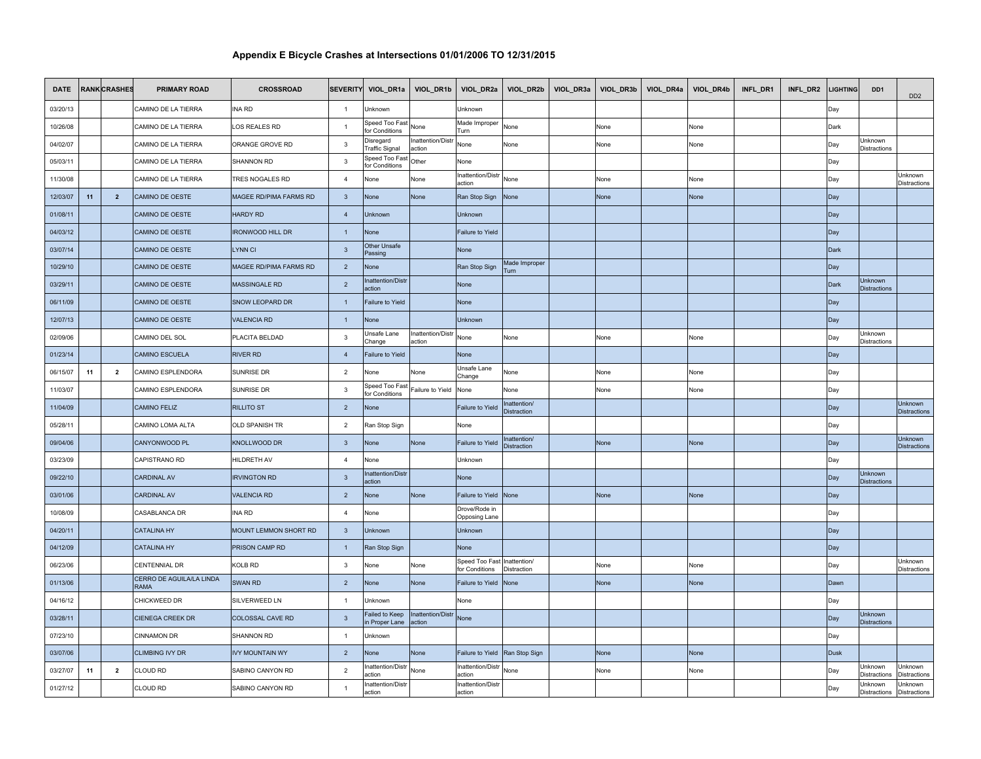| <b>DATE</b> |    | <b>RANK CRASHES</b>     | <b>PRIMARY ROAD</b>              | <b>CROSSROAD</b>        |                         | SEVERITY VIOL_DR1a VIOL_DR1b      |                             | VIOL_DR2a                                     |                                   | VIOL_DR2b VIOL_DR3a | VIOL_DR3b | VIOL_DR4a | VIOL_DR4b | INFL_DR1 | INFL_DR2 | <b>LIGHTING</b> | DD <sub>1</sub>                       | D <sub>D</sub> <sub>2</sub>           |
|-------------|----|-------------------------|----------------------------------|-------------------------|-------------------------|-----------------------------------|-----------------------------|-----------------------------------------------|-----------------------------------|---------------------|-----------|-----------|-----------|----------|----------|-----------------|---------------------------------------|---------------------------------------|
| 03/20/13    |    |                         | CAMINO DE LA TIERRA              | INA RD                  | $\overline{1}$          | Jnknown                           |                             | Jnknown                                       |                                   |                     |           |           |           |          |          | Day             |                                       |                                       |
| 10/26/08    |    |                         | CAMINO DE LA TIERRA              | LOS REALES RD           | $\overline{1}$          | Speed Too Fast<br>or Conditions   | None                        | Made Improper<br>'urn                         | None                              |                     | None      |           | None      |          |          | Dark            |                                       |                                       |
| 04/02/07    |    |                         | CAMINO DE LA TIERRA              | ORANGE GROVE RD         | $\overline{3}$          | <b>Disregard</b><br>raffic Signal | Inattention/Distr<br>action | None                                          | None                              |                     | None      |           | None      |          |          | Day             | Unknown<br>Distractions               |                                       |
| 05/03/11    |    |                         | CAMINO DE LA TIERRA              | SHANNON RD              | $\overline{3}$          | Speed Too Fast<br>or Conditions   | Other                       | None                                          |                                   |                     |           |           |           |          |          | Day             |                                       |                                       |
| 11/30/08    |    |                         | CAMINO DE LA TIERRA              | TRES NOGALES RD         | $\overline{4}$          | None                              | None                        | nattention/Distr<br>action                    | None                              |                     | None      |           | None      |          |          | Day             |                                       | Unknown<br>Distractions               |
| 12/03/07    | 11 | $\overline{2}$          | CAMINO DE OESTE                  | MAGEE RD/PIMA FARMS RD  | $\overline{\mathbf{3}}$ | Vone                              | None                        | Ran Stop Sign                                 | None                              |                     | None      |           | None      |          |          | Day             |                                       |                                       |
| 01/08/11    |    |                         | CAMINO DE OESTE                  | <b>HARDY RD</b>         | $\overline{4}$          | <b>Unknown</b>                    |                             | Unknown                                       |                                   |                     |           |           |           |          |          | Day             |                                       |                                       |
| 04/03/12    |    |                         | CAMINO DE OESTE                  | <b>IRONWOOD HILL DR</b> | $\overline{1}$          | None                              |                             | Failure to Yield                              |                                   |                     |           |           |           |          |          | Day             |                                       |                                       |
| 03/07/14    |    |                         | CAMINO DE OESTE                  | <b>LYNN CI</b>          | $\overline{\mathbf{3}}$ | Other Unsafe<br>Passing           |                             | None                                          |                                   |                     |           |           |           |          |          | Dark            |                                       |                                       |
| 10/29/10    |    |                         | CAMINO DE OESTE                  | MAGEE RD/PIMA FARMS RD  | $\overline{2}$          | Vone                              |                             | Ran Stop Sign                                 | Made Improper<br>Turn.            |                     |           |           |           |          |          | Day             |                                       |                                       |
| 03/29/11    |    |                         | CAMINO DE OESTE                  | MASSINGALE RD           | $\overline{2}$          | nattention/Distr<br>ction         |                             | None                                          |                                   |                     |           |           |           |          |          | Dark            | Unknown<br><b>Distractions</b>        |                                       |
| 06/11/09    |    |                         | CAMINO DE OESTE                  | SNOW LEOPARD DR         | $\overline{1}$          | Failure to Yield                  |                             | None                                          |                                   |                     |           |           |           |          |          | Day             |                                       |                                       |
| 12/07/13    |    |                         | CAMINO DE OESTE                  | <b>VALENCIA RD</b>      | $\overline{1}$          | None                              |                             | Jnknown                                       |                                   |                     |           |           |           |          |          | Day             |                                       |                                       |
| 02/09/06    |    |                         | CAMINO DEL SOL                   | PLACITA BELDAD          | $\overline{\mathbf{3}}$ | Jnsafe Lane<br>hange:             | Inattention/Distr<br>action | None                                          | None                              |                     | None      |           | None      |          |          | Day             | Unknown<br><b>Distractions</b>        |                                       |
| 01/23/14    |    |                         | CAMINO ESCUELA                   | <b>RIVER RD</b>         | $\overline{4}$          | ailure to Yield                   |                             | Vone                                          |                                   |                     |           |           |           |          |          | Day             |                                       |                                       |
| 06/15/07    | 11 | $\overline{2}$          | CAMINO ESPLENDORA                | SUNRISE DR              | 2                       | Vone                              | None                        | Jnsafe Lane<br>Change:                        | None                              |                     | None      |           | None      |          |          | Day             |                                       |                                       |
| 11/03/07    |    |                         | CAMINO ESPLENDORA                | SUNRISE DR              | $\mathbf{3}$            | Speed Too Fast<br>or Conditions   | Failure to Yield            | None                                          | None                              |                     | None      |           | None      |          |          | Day             |                                       |                                       |
| 11/04/09    |    |                         | <b>CAMINO FELIZ</b>              | <b>RILLITO ST</b>       | $\overline{2}$          | None                              |                             | ailure to Yield                               | nattention/<br><b>Distraction</b> |                     |           |           |           |          |          | Day             |                                       | Unknown<br><b>Distractions</b>        |
| 05/28/11    |    |                         | CAMINO LOMA ALTA                 | <b>OLD SPANISH TR</b>   | $\overline{2}$          | Ran Stop Sign                     |                             | None                                          |                                   |                     |           |           |           |          |          | Day             |                                       |                                       |
| 09/04/06    |    |                         | CANYONWOOD PL                    | <b>KNOLLWOOD DR</b>     | $\mathbf{3}$            | Vone                              | None                        | ailure to Yield                               | nattention/<br>Distraction        |                     | None      |           | None      |          |          | Day             |                                       | <b>Unknown</b><br><b>Distractions</b> |
| 03/23/09    |    |                         | CAPISTRANO RD                    | HILDRETH AV             | $\overline{4}$          | Vone                              |                             | Unknown                                       |                                   |                     |           |           |           |          |          | Day             |                                       |                                       |
| 09/22/10    |    |                         | <b>CARDINAL AV</b>               | <b>IRVINGTON RD</b>     | $\overline{\mathbf{3}}$ | nattention/Distr<br>iction        |                             | Vone                                          |                                   |                     |           |           |           |          |          | Day             | Unknown<br><b>Distractions</b>        |                                       |
| 03/01/06    |    |                         | <b>CARDINAL AV</b>               | <b>VALENCIA RD</b>      | $\overline{2}$          | None                              | None                        | ailure to Yield                               | None                              |                     | None      |           | None      |          |          | Day             |                                       |                                       |
| 10/08/09    |    |                         | CASABLANCA DR                    | INA RD                  | $\overline{4}$          | None                              |                             | Drove/Rode in<br><b>Opposing Lane</b>         |                                   |                     |           |           |           |          |          | Day             |                                       |                                       |
| 04/20/11    |    |                         | <b>CATALINA HY</b>               | MOUNT LEMMON SHORT RD   | $\overline{\mathbf{3}}$ | <b>Jnknown</b>                    |                             | Unknown                                       |                                   |                     |           |           |           |          |          | Day             |                                       |                                       |
| 04/12/09    |    |                         | <b>CATALINA HY</b>               | PRISON CAMP RD          | $\overline{1}$          | Ran Stop Sign                     |                             | Vone                                          |                                   |                     |           |           |           |          |          | Day             |                                       |                                       |
| 06/23/06    |    |                         | <b>CENTENNIAL DR</b>             | KOLB RD                 | $\mathbf{3}$            | None                              | None                        | Speed Too Fast Inattention/<br>for Conditions | Distraction                       |                     | None      |           | None      |          |          | Day             |                                       | Unknown<br>Distractions               |
| 01/13/06    |    |                         | CERRO DE AGUILA/LA LINDA<br>RAMA | <b>SWAN RD</b>          | $\overline{2}$          | None                              | None                        | ailure to Yield                               | None                              |                     | None      |           | None      |          |          | Dawn            |                                       |                                       |
| 04/16/12    |    |                         | CHICKWEED DR                     | SILVERWEED LN           | $\overline{1}$          | Jnknown                           |                             | Vone                                          |                                   |                     |           |           |           |          |          | Day             |                                       |                                       |
| 03/28/11    |    |                         | <b>CIENEGA CREEK DR</b>          | COLOSSAL CAVE RD        | $\overline{\mathbf{3}}$ | ailed to Keep<br>Proper Lane      | Inattention/Distr<br>action | None                                          |                                   |                     |           |           |           |          |          | Day             | Unknown<br><b>Distractions</b>        |                                       |
| 07/23/10    |    |                         | <b>CINNAMON DR</b>               | SHANNON RD              | $\overline{1}$          | Jnknown                           |                             |                                               |                                   |                     |           |           |           |          |          | Day             |                                       |                                       |
| 03/07/06    |    |                         | <b>CLIMBING IVY DR</b>           | <b>IVY MOUNTAIN WY</b>  | $\overline{2}$          | Vone                              | None                        | ailure to Yield                               | Ran Stop Sign                     |                     | None      |           | None      |          |          | <b>Dusk</b>     |                                       |                                       |
| 03/27/07    | 11 | $\overline{\mathbf{2}}$ | CLOUD RD                         | SABINO CANYON RD        | $\overline{2}$          | nattention/Distr<br>ction         | None                        | nattention/Distr<br>ction                     | None                              |                     | Vone      |           | None      |          |          | Day             | <b>Jnknown</b><br><b>Distractions</b> | Unknown<br><b>Distractions</b>        |
| 01/27/12    |    |                         | CLOUD RD                         | SABINO CANYON RD        | $\overline{1}$          | nattention/Distr<br>action        |                             | nattention/Distr<br>action                    |                                   |                     |           |           |           |          |          | Day             | Unknown<br>Distractions               | Unknown<br><b>Distractions</b>        |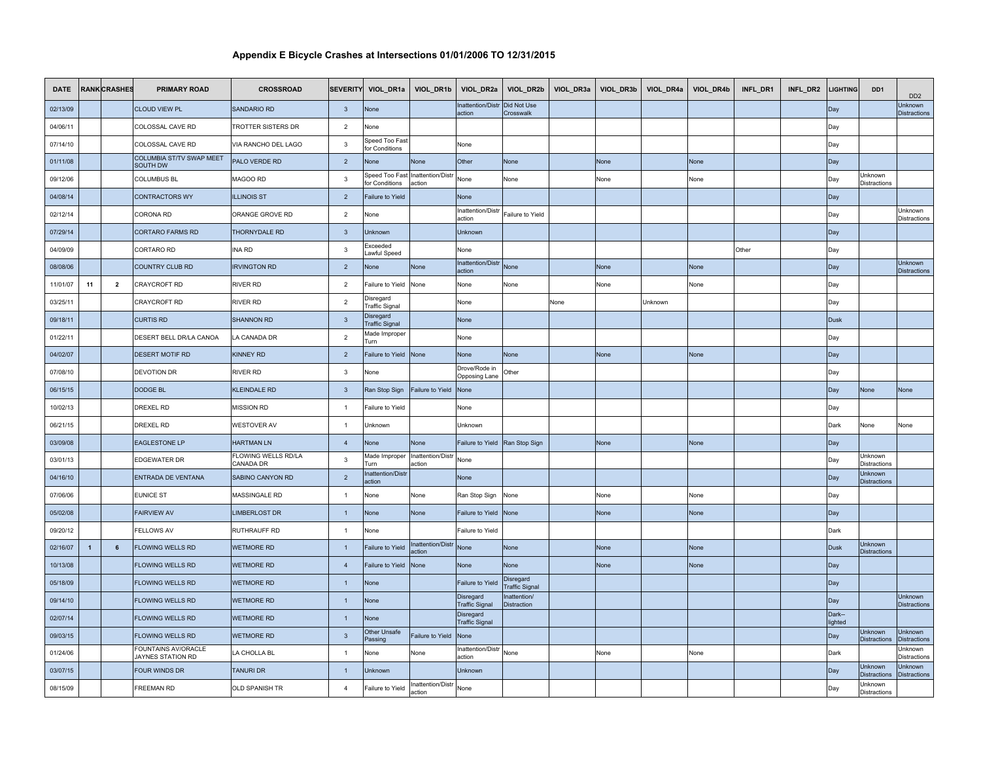| <b>DATE</b> |                | <b>RANK CRASHES</b> | <b>PRIMARY ROAD</b>                      | <b>CROSSROAD</b>                 |                         | SEVERITY VIOL_DR1a VIOL_DR1b    |                                           | VIOL_DR2a                          | VIOL_DR2b                          | VIOL_DR3a | VIOL_DR3b   | VIOL_DR4a | VIOL_DR4b   | INFL_DR1 | INFL_DR2 | <b>LIGHTING</b>   | DD <sub>1</sub>                       | D <sub>D</sub> <sub>2</sub>           |
|-------------|----------------|---------------------|------------------------------------------|----------------------------------|-------------------------|---------------------------------|-------------------------------------------|------------------------------------|------------------------------------|-----------|-------------|-----------|-------------|----------|----------|-------------------|---------------------------------------|---------------------------------------|
| 02/13/09    |                |                     | <b>CLOUD VIEW PL</b>                     | <b>SANDARIO RD</b>               | $\overline{\mathbf{3}}$ | None                            |                                           | nattention/Distr<br>action         | Did Not Use<br>Crosswalk           |           |             |           |             |          |          | Day               |                                       | Unknown<br><b>Distractions</b>        |
| 04/06/11    |                |                     | COLOSSAL CAVE RD                         | TROTTER SISTERS DR               | $\overline{2}$          | Vone                            |                                           |                                    |                                    |           |             |           |             |          |          | Day               |                                       |                                       |
| 07/14/10    |                |                     | COLOSSAL CAVE RD                         | VIA RANCHO DEL LAGO              | $\mathbf{3}$            | Speed Too Fast<br>or Conditions |                                           | None                               |                                    |           |             |           |             |          |          | Day               |                                       |                                       |
| 01/11/08    |                |                     | COLUMBIA ST/TV SWAP MEET<br>SOUTH DW     | PALO VERDE RD                    | $\overline{2}$          | Vone                            | None                                      | Other                              | None                               |           | None        |           | None        |          |          | Day               |                                       |                                       |
| 09/12/06    |                |                     | <b>COLUMBUS BL</b>                       | MAGOO RD                         | $\overline{\mathbf{3}}$ | or Conditions                   | peed Too Fast Inattention/Distr<br>action | None                               | None                               |           | None        |           | None        |          |          | Day               | Unknown<br>Distractions               |                                       |
| 04/08/14    |                |                     | <b>CONTRACTORS WY</b>                    | <b>ILLINOIS ST</b>               | $\overline{2}$          | ailure to Yield                 |                                           | None                               |                                    |           |             |           |             |          |          | Day               |                                       |                                       |
| 02/12/14    |                |                     | CORONA RD                                | ORANGE GROVE RD                  | $\overline{2}$          | None                            |                                           | nattention/Distr<br>action         | Failure to Yield                   |           |             |           |             |          |          | Day               |                                       | <b>Unknown</b><br>Distractions        |
| 07/29/14    |                |                     | <b>CORTARO FARMS RD</b>                  | THORNYDALE RD                    | $\mathbf{3}$            | Unknown                         |                                           | Unknown                            |                                    |           |             |           |             |          |          | Day               |                                       |                                       |
| 04/09/09    |                |                     | CORTARO RD                               | INA RD                           | $\mathbf{3}$            | <b>xceeded</b><br>awful Speed   |                                           | None                               |                                    |           |             |           |             | Other    |          | Day               |                                       |                                       |
| 08/08/06    |                |                     | COUNTRY CLUB RD                          | <b>IRVINGTON RD</b>              | $\overline{2}$          | Vone                            | None                                      | nattention/Distr<br><b>ction</b>   | Vone                               |           | None        |           | None        |          |          | Day               |                                       | Unknown<br><b>Distractions</b>        |
| 11/01/07    | 11             | $\overline{2}$      | CRAYCROFT RD                             | <b>RIVER RD</b>                  | $\overline{2}$          | ailure to Yield                 | None                                      | None                               | None                               |           | None        |           | None        |          |          | Day               |                                       |                                       |
| 03/25/11    |                |                     | CRAYCROFT RD                             | RIVER RD                         | $\overline{2}$          | Disregard<br>raffic Signal      |                                           | None                               |                                    | None      |             | Unknown   |             |          |          | Day               |                                       |                                       |
| 09/18/11    |                |                     | <b>CURTIS RD</b>                         | <b>SHANNON RD</b>                | $\overline{\mathbf{3}}$ | Disregard<br>raffic Signal      |                                           | None                               |                                    |           |             |           |             |          |          | <b>Dusk</b>       |                                       |                                       |
| 01/22/11    |                |                     | DESERT BELL DR/LA CANOA                  | LA CANADA DR                     | $\overline{2}$          | Made Improper<br>Turn           |                                           | None                               |                                    |           |             |           |             |          |          | Day               |                                       |                                       |
| 04/02/07    |                |                     | <b>DESERT MOTIF RD</b>                   | <b>KINNEY RD</b>                 | $\overline{2}$          | ailure to Yield None            |                                           | None                               | None                               |           | None        |           | None        |          |          | Day               |                                       |                                       |
| 07/08/10    |                |                     | <b>DEVOTION DR</b>                       | RIVER RD                         | $\mathbf{3}$            | Vone                            |                                           | Drove/Rode in<br>Opposing Lane     | Other                              |           |             |           |             |          |          | Day               |                                       |                                       |
| 06/15/15    |                |                     | <b>DODGE BL</b>                          | <b>KLEINDALE RD</b>              | $\overline{\mathbf{3}}$ | Ran Stop Sign                   | Failure to Yield                          | None                               |                                    |           |             |           |             |          |          | Day               | None                                  | None                                  |
| 10/02/13    |                |                     | DREXEL RD                                | <b>MISSION RD</b>                | $\overline{1}$          | ailure to Yield                 |                                           | None                               |                                    |           |             |           |             |          |          | Day               |                                       |                                       |
| 06/21/15    |                |                     | DREXEL RD                                | <b>NESTOVER AV</b>               | $\overline{1}$          | Jnknown                         |                                           | Jnknown                            |                                    |           |             |           |             |          |          | Dark              | Vone                                  | None                                  |
| 03/09/08    |                |                     | <b>EAGLESTONE LP</b>                     | <b>HARTMAN LN</b>                | $\overline{4}$          | None                            | None                                      | Failure to Yield                   | Ran Stop Sign                      |           | <b>None</b> |           | None        |          |          | Day               |                                       |                                       |
| 03/01/13    |                |                     | EDGEWATER DR                             | FLOWING WELLS RD/LA<br>CANADA DR | $\mathbf{3}$            | Made Improper<br>urn'           | Inattention/Distr<br>action               | None                               |                                    |           |             |           |             |          |          | Day               | Unknown<br><b>Distractions</b>        |                                       |
| 04/16/10    |                |                     | ENTRADA DE VENTANA                       | SABINO CANYON RD                 | $\sqrt{2}$              | nattention/Dist<br>action       |                                           | None                               |                                    |           |             |           |             |          |          | Day               | Unknown<br><b>Distractions</b>        |                                       |
| 07/06/06    |                |                     | <b>EUNICE ST</b>                         | MASSINGALE RD                    | $\overline{1}$          | Vone                            | None                                      | Ran Stop Sign                      | None                               |           | Vone        |           | None        |          |          | Day               |                                       |                                       |
| 05/02/08    |                |                     | <b>FAIRVIEW AV</b>                       | <b>LIMBERLOST DR</b>             | $\overline{1}$          | None                            | None                                      | ailure to Yield                    | None                               |           | <b>None</b> |           | None        |          |          | Day               |                                       |                                       |
| 09/20/12    |                |                     | <b>FELLOWS AV</b>                        | RUTHRAUFF RD                     | $\overline{1}$          | None                            |                                           | ailure to Yield                    |                                    |           |             |           |             |          |          | Dark              |                                       |                                       |
| 02/16/07    | $\overline{1}$ | 6                   | <b>FLOWING WELLS RD</b>                  | <b>WETMORE RD</b>                | $\overline{1}$          | <b>Failure to Yield</b>         | <b>Inattention/Distr</b><br>action        | None                               | None                               |           | <b>None</b> |           | <b>None</b> |          |          | <b>Dusk</b>       | Unknown<br><b>Distractions</b>        |                                       |
| 10/13/08    |                |                     | FLOWING WELLS RD                         | WETMORE RD                       | $\overline{4}$          | Failure to Yield                | None                                      | Vone                               | Vone                               |           | None        |           | None        |          |          | Day               |                                       |                                       |
| 05/18/09    |                |                     | FLOWING WELLS RD                         | <b>WETMORE RD</b>                | $\overline{1}$          | None                            |                                           | Failure to Yield                   | Disregard<br><b>Traffic Signal</b> |           |             |           |             |          |          | Day               |                                       |                                       |
| 09/14/10    |                |                     | FLOWING WELLS RD                         | <b>WETMORE RD</b>                | $\overline{1}$          | None                            |                                           | Disregard<br><b>Traffic Signal</b> | nattention/<br>Distraction         |           |             |           |             |          |          | Day               |                                       | Unknown<br>Distractions               |
| 02/07/14    |                |                     | <b>FLOWING WELLS RD</b>                  | <b>WETMORE RD</b>                | $\overline{1}$          | <b>None</b>                     |                                           | Disregard<br><b>Traffic Signal</b> |                                    |           |             |           |             |          |          | Dark--<br>lighted |                                       |                                       |
| 09/03/15    |                |                     | <b>FLOWING WELLS RD</b>                  | <b>WETMORE RD</b>                | $\overline{\mathbf{3}}$ | Other Unsafe<br>assing          | Failure to Yield                          | None                               |                                    |           |             |           |             |          |          | Day               | Jnknown<br><b>Distractions</b>        | Unknown<br><b>Distractions</b>        |
| 01/24/06    |                |                     | FOUNTAINS AV/ORACLE<br>JAYNES STATION RD | LA CHOLLA BL                     | $\overline{1}$          | None                            | None                                      | nattention/Distr<br>action         | None                               |           | None        |           | None        |          |          | Dark              |                                       | <b>Jnknown</b><br><b>Distractions</b> |
| 03/07/15    |                |                     | <b>FOUR WINDS DR</b>                     | TANURI DR                        | $\overline{1}$          | Unknown                         |                                           | Unknown                            |                                    |           |             |           |             |          |          | Day               | <b>Jnknown</b><br><b>Distractions</b> | Unknown<br>Distractions               |
| 08/15/09    |                |                     | FREEMAN RD                               | OLD SPANISH TR                   | $\overline{4}$          | ailure to Yield                 | Inattention/Distr<br>action               | None                               |                                    |           |             |           |             |          |          | Day               | Unknown<br>Distractions               |                                       |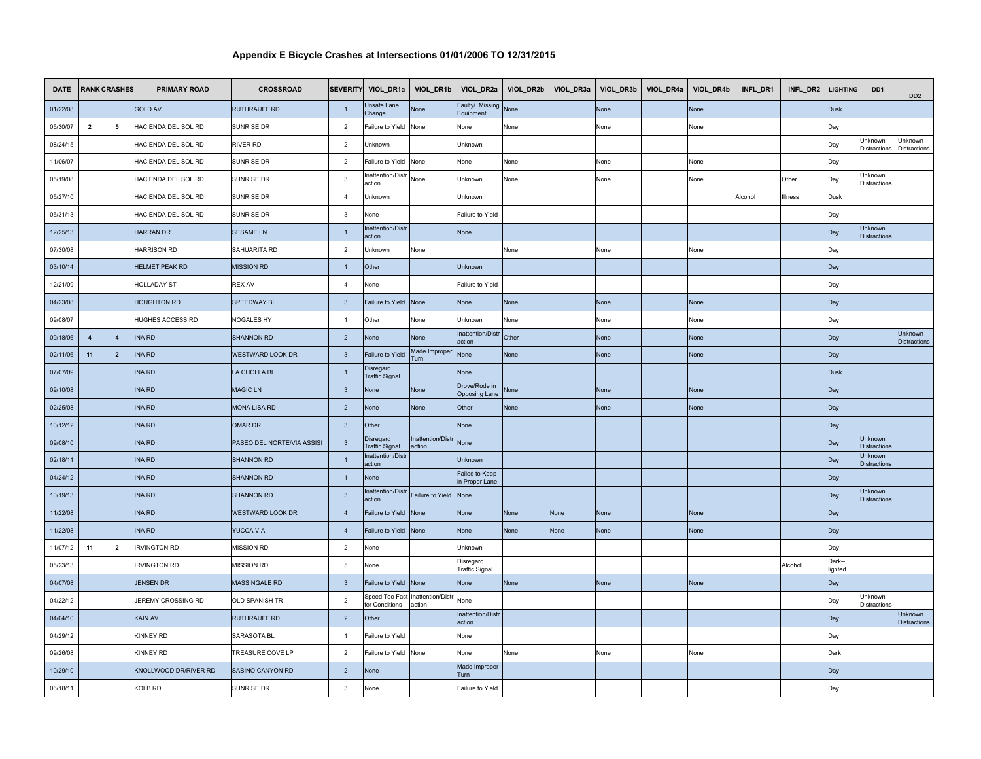| <b>DATE</b> |                         | <b>RANK CRASHES</b> | <b>PRIMARY ROAD</b>   | <b>CROSSROAD</b>           |                         |                                    | SEVERITY VIOL_DR1a   VIOL_DR1b     | VIOL_DR2a                          | VIOL_DR2b | VIOL_DR3a | VIOL_DR3b   | VIOL_DR4a | VIOL_DR4b | INFL_DR1 | INFL_DR2 | <b>LIGHTING</b>   | DD <sub>1</sub>                | DD <sub>2</sub>                       |
|-------------|-------------------------|---------------------|-----------------------|----------------------------|-------------------------|------------------------------------|------------------------------------|------------------------------------|-----------|-----------|-------------|-----------|-----------|----------|----------|-------------------|--------------------------------|---------------------------------------|
| 01/22/08    |                         |                     | <b>GOLD AV</b>        | <b>RUTHRAUFF RD</b>        | $\overline{1}$          | Jnsafe Lane<br>Change              | None                               | Faulty/ Missing<br>Equipment       | None      |           | None        |           | None      |          |          | <b>Dusk</b>       |                                |                                       |
| 05/30/07    | $\overline{\mathbf{2}}$ | 5                   | HACIENDA DEL SOL RD   | SUNRISE DR                 | $\overline{2}$          | ailure to Yield                    | None                               | None                               | None      |           | None        |           | None      |          |          | Day               |                                |                                       |
| 08/24/15    |                         |                     | HACIENDA DEL SOL RD   | <b>RIVER RD</b>            | $\overline{2}$          | Jnknown                            |                                    | Unknown                            |           |           |             |           |           |          |          | Day               | Unknown<br>Distractions        | Unknown<br>Distractions               |
| 11/06/07    |                         |                     | HACIENDA DEL SOL RD   | SUNRISE DR                 | $\overline{2}$          | ailure to Yield                    | None                               | None                               | None      |           | None        |           | None      |          |          | Day               |                                |                                       |
| 05/19/08    |                         |                     | HACIENDA DEL SOL RD   | SUNRISE DR                 | $\overline{3}$          | nattention/Distr<br>action         | None                               | Unknown                            | None      |           | None        |           | None      |          | Other    | Day               | Unknown<br>Distractions        |                                       |
| 05/27/10    |                         |                     | HACIENDA DEL SOL RD   | SUNRISE DR                 | $\overline{4}$          | Jnknown                            |                                    | Unknown                            |           |           |             |           |           | Alcohol  | Illness  | Dusk              |                                |                                       |
| 05/31/13    |                         |                     | HACIENDA DEL SOL RD   | <b>SUNRISE DR</b>          | $\overline{\mathbf{3}}$ | None                               |                                    | Failure to Yield                   |           |           |             |           |           |          |          | Day               |                                |                                       |
| 12/25/13    |                         |                     | <b>HARRAN DR</b>      | <b>SESAME LN</b>           | $\overline{1}$          | nattention/Distr<br>action         |                                    | None                               |           |           |             |           |           |          |          | Day               | Unknown<br><b>Distractions</b> |                                       |
| 07/30/08    |                         |                     | <b>HARRISON RD</b>    | SAHUARITA RD               | $\overline{2}$          | Unknown                            | None                               |                                    | None      |           | None        |           | None      |          |          | Day               |                                |                                       |
| 03/10/14    |                         |                     | <b>HELMET PEAK RD</b> | <b>MISSION RD</b>          | $\overline{1}$          | Other                              |                                    | Unknown                            |           |           |             |           |           |          |          | Day               |                                |                                       |
| 12/21/09    |                         |                     | <b>HOLLADAY ST</b>    | <b>REX AV</b>              | $\overline{4}$          | Vone                               |                                    | Failure to Yield                   |           |           |             |           |           |          |          | Day               |                                |                                       |
| 04/23/08    |                         |                     | <b>HOUGHTON RD</b>    | SPEEDWAY BL                | $\overline{\mathbf{3}}$ | Failure to Yield                   | None                               | None                               | None      |           | None        |           | None      |          |          | Day               |                                |                                       |
| 09/08/07    |                         |                     | HUGHES ACCESS RD      | NOGALES HY                 | $\overline{1}$          | Other                              | None                               | Unknown                            | None      |           | None        |           | None      |          |          | Day               |                                |                                       |
| 09/18/06    | $\overline{4}$          | $\overline{4}$      | <b>INA RD</b>         | <b>SHANNON RD</b>          | $\overline{2}$          | <b>None</b>                        | None                               | <b>Inattention/Distr</b><br>action | Other     |           | None        |           | None      |          |          | Day               |                                | Unknown<br><b>Distractions</b>        |
| 02/11/06    | 11                      | $\overline{2}$      | <b>INA RD</b>         | WESTWARD LOOK DR           | $\overline{\mathbf{3}}$ | ailure to Yield                    | Made Improper<br>urn               | None                               | None      |           | <b>None</b> |           | Vone      |          |          | Day               |                                |                                       |
| 07/07/09    |                         |                     | <b>INA RD</b>         | LA CHOLLA BL               | $\overline{1}$          | Disregard<br><b>Traffic Signal</b> |                                    | <b>None</b>                        |           |           |             |           |           |          |          | <b>Dusk</b>       |                                |                                       |
| 09/10/08    |                         |                     | <b>INA RD</b>         | <b>MAGIC LN</b>            | $\overline{\mathbf{3}}$ | None                               | None                               | Drove/Rode in<br>Opposing Lane     | Vone      |           | None        |           | None      |          |          | Day               |                                |                                       |
| 02/25/08    |                         |                     | <b>INA RD</b>         | <b>MONA LISA RD</b>        | $\overline{2}$          | None                               | None                               | Other                              | None      |           | None        |           | None      |          |          | Day               |                                |                                       |
| 10/12/12    |                         |                     | <b>INA RD</b>         | OMAR DR                    | $\overline{\mathbf{3}}$ | Other                              |                                    | None                               |           |           |             |           |           |          |          | Day               |                                |                                       |
| 09/08/10    |                         |                     | <b>INA RD</b>         | PASEO DEL NORTE/VIA ASSISI | $\overline{\mathbf{3}}$ | Disregard<br><b>Traffic Signal</b> | <b>Inattention/Distr</b><br>action | None                               |           |           |             |           |           |          |          | Day               | Unknown<br><b>Distractions</b> |                                       |
| 02/18/11    |                         |                     | INA RD                | <b>SHANNON RD</b>          | $\overline{1}$          | Inattention/Distr<br>action        |                                    | Unknown                            |           |           |             |           |           |          |          | Day               | Unknown<br><b>Distractions</b> |                                       |
| 04/24/12    |                         |                     | <b>INA RD</b>         | <b>SHANNON RD</b>          | $\overline{1}$          | None                               |                                    | Failed to Keep<br>in Proper Lane   |           |           |             |           |           |          |          | Day               |                                |                                       |
| 10/19/13    |                         |                     | <b>INA RD</b>         | <b>SHANNON RD</b>          | $\overline{\mathbf{3}}$ | nattention/Distr<br>ıction         | Failure to Yield                   | None                               |           |           |             |           |           |          |          | Day               | Unknown<br><b>Distractions</b> |                                       |
| 11/22/08    |                         |                     | <b>INA RD</b>         | <b>WESTWARD LOOK DR</b>    | $\overline{4}$          | ailure to Yield                    | None                               | None                               | None      | None      | <b>None</b> |           | None      |          |          | Day               |                                |                                       |
| 11/22/08    |                         |                     | <b>INA RD</b>         | <b>YUCCA VIA</b>           | $\overline{4}$          | ailure to Yield                    | None                               | None                               | None      | None      | None        |           | None      |          |          | Day               |                                |                                       |
| 11/07/12    | 11                      | $\overline{2}$      | <b>IRVINGTON RD</b>   | MISSION RD                 | $\overline{2}$          | None                               |                                    | Unknown                            |           |           |             |           |           |          |          | Day               |                                |                                       |
| 05/23/13    |                         |                     | <b>IRVINGTON RD</b>   | <b>MISSION RD</b>          | $5\phantom{.0}$         | None                               |                                    | Disregard<br><b>Traffic Signal</b> |           |           |             |           |           |          | Alcohol  | Dark--<br>lighted |                                |                                       |
| 04/07/08    |                         |                     | <b>JENSEN DR</b>      | MASSINGALE RD              | $\overline{\mathbf{3}}$ | Failure to Yield None              |                                    | <b>None</b>                        | None      |           | None        |           | None      |          |          | Day               |                                |                                       |
| 04/22/12    |                         |                     | JEREMY CROSSING RD    | OLD SPANISH TR             | $\overline{2}$          | Speed Too Fast<br>for Conditions   | Inattention/Distr<br>action        | None                               |           |           |             |           |           |          |          | Day               | Unknown<br>Distractions        |                                       |
| 04/04/10    |                         |                     | KAIN AV               | <b>RUTHRAUFF RD</b>        | $\overline{2}$          | Other                              |                                    | <b>Inattention/Distr</b><br>action |           |           |             |           |           |          |          | Day               |                                | <b>Unknown</b><br><b>Distractions</b> |
| 04/29/12    |                         |                     | KINNEY RD             | SARASOTA BL                | $\overline{1}$          | ailure to Yield                    |                                    | None                               |           |           |             |           |           |          |          | Day               |                                |                                       |
| 09/26/08    |                         |                     | KINNEY RD             | TREASURE COVE LP           | $\overline{2}$          | ailure to Yield                    | None                               | None                               | None      |           | None        |           | None      |          |          | Dark              |                                |                                       |
| 10/29/10    |                         |                     | KNOLLWOOD DR/RIVER RD | SABINO CANYON RD           | $\overline{2}$          | None                               |                                    | Made Improper<br>Turn              |           |           |             |           |           |          |          | Day               |                                |                                       |
| 06/18/11    |                         |                     | KOLB RD               | SUNRISE DR                 | $\mathbf{3}$            | None                               |                                    | Failure to Yield                   |           |           |             |           |           |          |          | Day               |                                |                                       |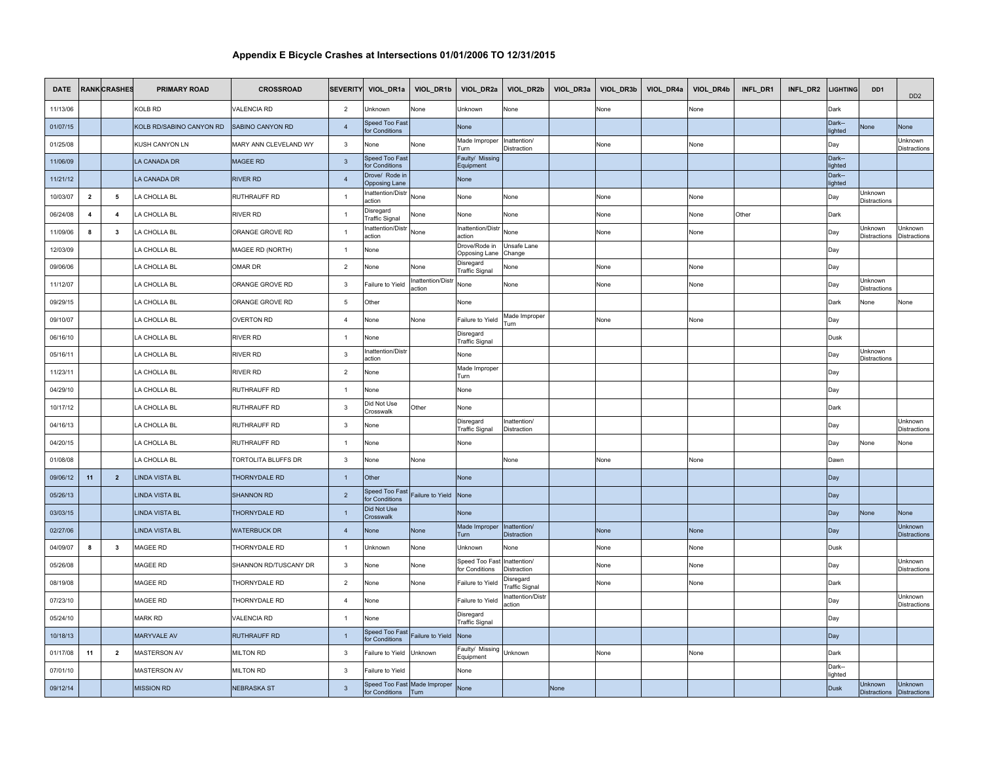| <b>DATE</b> |                         | <b>RANK CRASHES</b>     | <b>PRIMARY ROAD</b>      | <b>CROSSROAD</b>             |                 | SEVERITY VIOL_DR1a                     | VIOL_DR1b                            | VIOL_DR2a                                 | VIOL_DR2b                   |      | VIOL_DR3a VIOL_DR3b | VIOL_DR4a | VIOL_DR4b | INFL_DR1 | INFL_DR2 | <b>LIGHTING</b>   | DD <sub>1</sub>                | DD <sub>2</sub>                |
|-------------|-------------------------|-------------------------|--------------------------|------------------------------|-----------------|----------------------------------------|--------------------------------------|-------------------------------------------|-----------------------------|------|---------------------|-----------|-----------|----------|----------|-------------------|--------------------------------|--------------------------------|
| 11/13/06    |                         |                         | KOLB RD                  | <b>VALENCIA RD</b>           | $\overline{2}$  | Jnknown                                | None                                 | Jnknown                                   | None                        |      | None                |           | None      |          |          | Dark              |                                |                                |
| 01/07/15    |                         |                         | KOLB RD/SABINO CANYON RD | SABINO CANYON RD             | $\overline{4}$  | Speed Too Fast<br>or Conditions        |                                      | None                                      |                             |      |                     |           |           |          |          | Dark-<br>lighted  | <b>None</b>                    | <b>Jone</b>                    |
| 01/25/08    |                         |                         | KUSH CANYON LN           | <b>MARY ANN CLEVELAND WY</b> | $\mathbf{3}$    | None                                   | None                                 | Made Improper<br>'urn                     | Inattention/<br>Distraction |      | None                |           | None      |          |          | Day               |                                | Unknown<br><b>Distractions</b> |
| 11/06/09    |                         |                         | LA CANADA DR             | MAGEE RD                     | $\overline{3}$  | Speed Too Fast<br>or Conditions        |                                      | Faulty/ Missing<br>Equipment              |                             |      |                     |           |           |          |          | Dark--<br>lighted |                                |                                |
| 11/21/12    |                         |                         | LA CANADA DR             | <b>RIVER RD</b>              | $\overline{4}$  | Drove/ Rode in<br><b>Opposing Lane</b> |                                      | None                                      |                             |      |                     |           |           |          |          | Dark--<br>lighted |                                |                                |
| 10/03/07    | $\overline{\mathbf{2}}$ | 5                       | A CHOLLA BL              | RUTHRAUFF RD                 | $\overline{1}$  | nattention/Distr<br>iction             | None                                 | Jone                                      | None                        |      | None                |           | None      |          |          | Day               | Jnknown<br>Distractions        |                                |
| 06/24/08    | $\overline{\mathbf{4}}$ | $\overline{\mathbf{4}}$ | A CHOLLA BL              | <b>RIVER RD</b>              | $\overline{1}$  | )isregard<br>raffic Signal             | None                                 | None                                      | None                        |      | None                |           | None      | Other    |          | Dark              |                                |                                |
| 11/09/06    | 8                       | $\mathbf{3}$            | A CHOLLA BL              | ORANGE GROVE RD              | $\overline{1}$  | nattention/Distr<br>action             | None                                 | nattention/Dist<br>action                 | None                        |      | None                |           | None      |          |          | Day               | Unknown<br>Distractions        | Jnknown<br><b>Distractions</b> |
| 12/03/09    |                         |                         | LA CHOLLA BL             | MAGEE RD (NORTH)             | $\overline{1}$  | None                                   |                                      | Drove/Rode in<br>Opposing Lane            | Unsafe Lane<br>Change       |      |                     |           |           |          |          | Day               |                                |                                |
| 09/06/06    |                         |                         | LA CHOLLA BL             | OMAR DR                      | $\overline{2}$  | None                                   | Vone                                 | <b>Disregard</b><br><b>Traffic Signal</b> | Vone                        |      | None                |           | None      |          |          | Day               |                                |                                |
| 11/12/07    |                         |                         | A CHOLLA BL              | ORANGE GROVE RD              | $\overline{3}$  | Failure to Yield                       | nattention/Distr<br>action           | None                                      | None                        |      | None                |           | None      |          |          | Day               | Jnknown<br>Distractions        |                                |
| 09/29/15    |                         |                         | A CHOLLA BL              | ORANGE GROVE RD              | $5\phantom{.0}$ | Other                                  |                                      | None                                      |                             |      |                     |           |           |          |          | Dark              | None                           | None                           |
| 09/10/07    |                         |                         | LA CHOLLA BL             | <b>OVERTON RD</b>            | $\overline{4}$  | None                                   | None                                 | ailure to Yield                           | Made Improper<br>Turn       |      | None                |           | None      |          |          | Day               |                                |                                |
| 06/16/10    |                         |                         | LA CHOLLA BL             | RIVER RD                     | $\overline{1}$  | None                                   |                                      | Disregard<br><b>Traffic Signal</b>        |                             |      |                     |           |           |          |          | Dusk              |                                |                                |
| 05/16/11    |                         |                         | LA CHOLLA BL             | <b>RIVER RD</b>              | $\mathbf{3}$    | nattention/Distr<br>iction             |                                      | None                                      |                             |      |                     |           |           |          |          | Day               | Unknown<br>Distractions        |                                |
| 11/23/11    |                         |                         | A CHOLLA BL              | <b>RIVER RD</b>              | $\overline{2}$  | None                                   |                                      | Made Improper<br>Turn                     |                             |      |                     |           |           |          |          | Day               |                                |                                |
| 04/29/10    |                         |                         | A CHOLLA BL              | RUTHRAUFF RD                 | $\overline{1}$  | None                                   |                                      | None                                      |                             |      |                     |           |           |          |          | Day               |                                |                                |
| 10/17/12    |                         |                         | LA CHOLLA BL             | RUTHRAUFF RD                 | $\mathbf{3}$    | Did Not Use<br><b>Crosswalk</b>        | Other                                | None                                      |                             |      |                     |           |           |          |          | Dark              |                                |                                |
| 04/16/13    |                         |                         | A CHOLLA BL              | RUTHRAUFF RD                 | $\mathbf{3}$    | Vone                                   |                                      | Disregard<br><b>Traffic Signal</b>        | Inattention/<br>Distraction |      |                     |           |           |          |          | Day               |                                | Unknown<br><b>Distractions</b> |
| 04/20/15    |                         |                         | A CHOLLA BL              | RUTHRAUFF RD                 | $\overline{1}$  | None                                   |                                      | None                                      |                             |      |                     |           |           |          |          | Day               | <b>None</b>                    | Vone                           |
| 01/08/08    |                         |                         | A CHOLLA BL              | TORTOLITA BLUFFS DR          | $\mathbf{3}$    | None                                   | None                                 |                                           | None                        |      | None                |           | None      |          |          | Dawn              |                                |                                |
| 09/06/12    | 11                      | $\overline{2}$          | <b>LINDA VISTA BL</b>    | THORNYDALE RD                | $\overline{1}$  | Other                                  |                                      | None                                      |                             |      |                     |           |           |          |          | Day               |                                |                                |
| 05/26/13    |                         |                         | LINDA VISTA BL           | SHANNON RD                   | $\overline{2}$  | Speed Too Fast<br>or Conditions        | Failure to Yield                     | None                                      |                             |      |                     |           |           |          |          | Day               |                                |                                |
| 03/03/15    |                         |                         | <b>LINDA VISTA BL</b>    | THORNYDALE RD                | $\overline{1}$  | Did Not Use<br>Crosswalk               |                                      | None                                      |                             |      |                     |           |           |          |          | Day               | None                           | Vone                           |
| 02/27/06    |                         |                         | <b>LINDA VISTA BL</b>    | <b>WATERBUCK DR</b>          | $\overline{4}$  | None                                   | None                                 | Made Improper<br>Turn                     | Inattention/<br>Distraction |      | None                |           | None      |          |          | Day               |                                | Unknown<br><b>Distractions</b> |
| 04/09/07    | 8                       | $\mathbf{3}$            | MAGEE RD                 | THORNYDALE RD                | $\overline{1}$  | Unknown                                | None                                 | <b>Jnknown</b>                            | None                        |      | None                |           | None      |          |          | Dusk              |                                |                                |
| 05/26/08    |                         |                         | MAGEE RD                 | SHANNON RD/TUSCANY DR        | $\mathbf{3}$    | None                                   | None                                 | Speed Too Fas<br>or Conditions            | nattention/<br>Distraction  |      | None                |           | None      |          |          | Day               |                                | Jnknown<br>Distractions        |
| 08/19/08    |                         |                         | MAGEE RD                 | THORNYDALE RD                | $\overline{2}$  | None                                   | None                                 | ailure to Yield                           | Disregard<br>raffic Signal  |      | None                |           | None      |          |          | Dark              |                                |                                |
| 07/23/10    |                         |                         | MAGEE RD                 | THORNYDALE RD                | $\overline{4}$  | None                                   |                                      | ailure to Yield                           | nattention/Distr<br>action  |      |                     |           |           |          |          | Day               |                                | Jnknown<br><b>Distractions</b> |
| 05/24/10    |                         |                         | <b>MARK RD</b>           | <b>VALENCIA RD</b>           | $\overline{1}$  | None                                   |                                      | Disregard<br><b>Traffic Signal</b>        |                             |      |                     |           |           |          |          | Day               |                                |                                |
| 10/18/13    |                         |                         | <b>MARYVALE AV</b>       | RUTHRAUFF RD                 | $\overline{1}$  | Speed Too Fas<br>or Conditions         | Failure to Yield                     | None                                      |                             |      |                     |           |           |          |          | Day               |                                |                                |
| 01/17/08    | 11                      | $\overline{2}$          | <b>MASTERSON AV</b>      | <b>MILTON RD</b>             | $\mathbf{3}$    | ailure to Yield                        | Unknown                              | aulty/ Missing<br>Equipment               | Unknown                     |      | None                |           | None      |          |          | Dark              |                                |                                |
| 07/01/10    |                         |                         | MASTERSON AV             | <b>MILTON RD</b>             | $\mathbf{3}$    | ailure to Yield                        |                                      | None                                      |                             |      |                     |           |           |          |          | Dark--<br>lighted |                                |                                |
| 09/12/14    |                         |                         | <b>MISSION RD</b>        | <b>NEBRASKA ST</b>           | $\mathbf{3}$    | or Conditions                          | Speed Too Fast Made Improper<br>Turn | None                                      |                             | None |                     |           |           |          |          | <b>Dusk</b>       | Unknown<br><b>Distractions</b> | Unknown<br><b>Distractions</b> |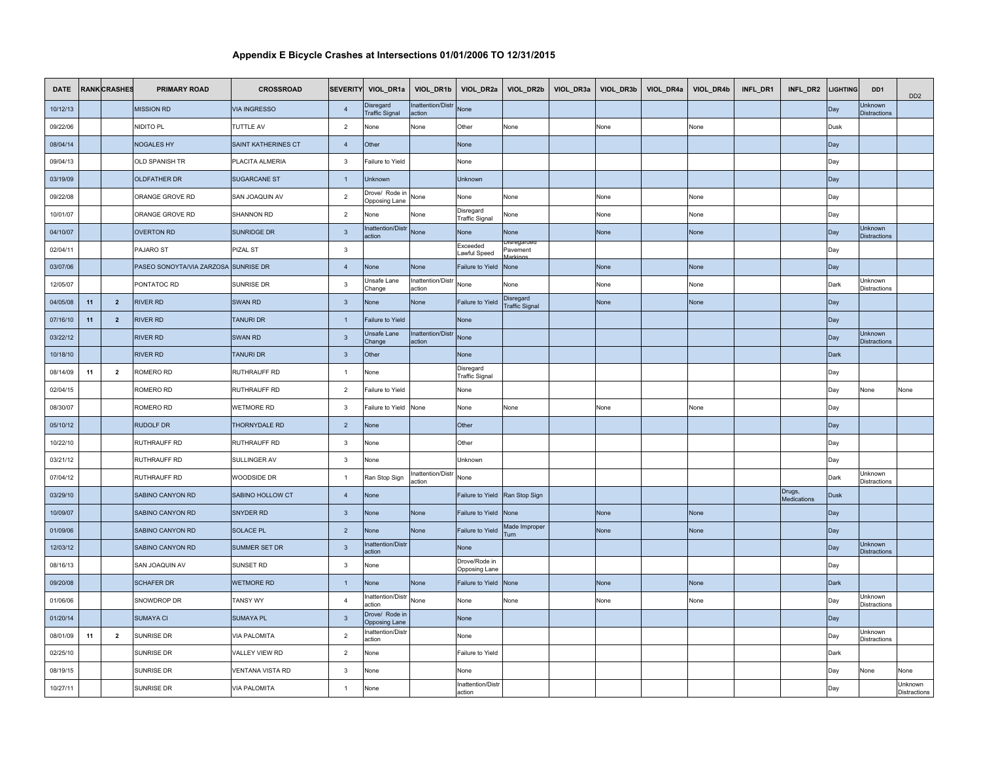| <b>DATE</b> |    | <b>RANK CRASHES</b> | <b>PRIMARY ROAD</b>                  | <b>CROSSROAD</b>      | <b>SEVERITY</b>         | VIOL_DR1a                              | VIOL_DR1b                          |                                    |                                    | VIOL_DR2a   VIOL_DR2b   VIOL_DR3a   VIOL_DR3b   VIOL_DR4a | VIOL_DR4b | INFL_DR1 | INFL_DR2              | <b>LIGHTING</b> | DD <sub>1</sub>                       | D <sub>D</sub> <sub>2</sub> |
|-------------|----|---------------------|--------------------------------------|-----------------------|-------------------------|----------------------------------------|------------------------------------|------------------------------------|------------------------------------|-----------------------------------------------------------|-----------|----------|-----------------------|-----------------|---------------------------------------|-----------------------------|
| 10/12/13    |    |                     | <b>MISSION RD</b>                    | <b>VIA INGRESSO</b>   | $\overline{4}$          | Disregard<br><b>Traffic Signal</b>     | nattention/Distr<br>action         | None                               |                                    |                                                           |           |          |                       | Day             | <b>Jnknown</b><br><b>Distractions</b> |                             |
| 09/22/06    |    |                     | NIDITO PL                            | <b>TUTTLE AV</b>      | $\overline{2}$          | None                                   | None                               | Other                              | None                               | None                                                      | None      |          |                       | Dusk            |                                       |                             |
| 08/04/14    |    |                     | <b>NOGALES HY</b>                    | SAINT KATHERINES CT   | $\overline{4}$          | Other                                  |                                    | None                               |                                    |                                                           |           |          |                       | Day             |                                       |                             |
| 09/04/13    |    |                     | OLD SPANISH TR                       | PLACITA ALMERIA       | $\mathbf{3}$            | Failure to Yield                       |                                    | None                               |                                    |                                                           |           |          |                       | Day             |                                       |                             |
| 03/19/09    |    |                     | <b>OLDFATHER DR</b>                  | <b>SUGARCANE ST</b>   | $\overline{1}$          | Unknown                                |                                    | Unknown                            |                                    |                                                           |           |          |                       | Day             |                                       |                             |
| 09/22/08    |    |                     | ORANGE GROVE RD                      | SAN JOAQUIN AV        | $\overline{2}$          | Drove/ Rode in<br>Opposing Lane        | None                               | None                               | None                               | None                                                      | None      |          |                       | Day             |                                       |                             |
| 10/01/07    |    |                     | ORANGE GROVE RD                      | SHANNON RD            | $\overline{2}$          | None                                   | None                               | Disregard<br><b>Traffic Signal</b> | None                               | None                                                      | None      |          |                       | Day             |                                       |                             |
| 04/10/07    |    |                     | <b>OVERTON RD</b>                    | SUNRIDGE DR           | $\mathbf{3}$            | Inattention/Distr<br>action            | None                               | None                               | None                               | None                                                      | None      |          |                       | Day             | Unknown<br><b>Distractions</b>        |                             |
| 02/04/11    |    |                     | PAJARO ST                            | PIZAL ST              | $\mathbf{3}$            |                                        |                                    | Exceeded<br>awful Speed            | sregardi<br>Pavement               |                                                           |           |          |                       | Day             |                                       |                             |
| 03/07/06    |    |                     | PASEO SONOYTA/VIA ZARZOSA SUNRISE DR |                       | $\overline{4}$          | None                                   | None                               | ailure to Yield                    | None                               | None                                                      | None      |          |                       | Day             |                                       |                             |
| 12/05/07    |    |                     | PONTATOC RD                          | SUNRISE DR            | $\mathbf{3}$            | Unsafe Lane<br>Change                  | nattention/Distr<br>action         | None                               | None                               | None                                                      | None      |          |                       | Dark            | Jnknown<br><b>Distractions</b>        |                             |
| 04/05/08    | 11 | $\overline{2}$      | <b>RIVER RD</b>                      | SWAN RD               | $\mathbf{3}$            | None                                   | None                               | Failure to Yield                   | Disregard<br><b>Traffic Signal</b> | None                                                      | None      |          |                       | Day             |                                       |                             |
| 07/16/10    | 11 | $\overline{2}$      | <b>RIVER RD</b>                      | TANURI DR             | $\overline{1}$          | Failure to Yield                       |                                    | None                               |                                    |                                                           |           |          |                       | Day             |                                       |                             |
| 03/22/12    |    |                     | <b>RIVER RD</b>                      | SWAN RD               | $\mathbf{3}$            | Jnsafe Lane<br>Change                  | <b>Inattention/Distr</b><br>action | None                               |                                    |                                                           |           |          |                       | Day             | Jnknown<br><b>Distractions</b>        |                             |
| 10/18/10    |    |                     | <b>RIVER RD</b>                      | TANURI DR             | $\overline{\mathbf{3}}$ | Other                                  |                                    | <b>None</b>                        |                                    |                                                           |           |          |                       | Dark            |                                       |                             |
| 08/14/09    | 11 | $\overline{2}$      | ROMERO RD                            | RUTHRAUFF RD          | $\overline{1}$          | None                                   |                                    | Disregard<br><b>Traffic Signal</b> |                                    |                                                           |           |          |                       | Day             |                                       |                             |
| 02/04/15    |    |                     | ROMERO RD                            | RUTHRAUFF RD          | $\overline{2}$          | Failure to Yield                       |                                    | None                               |                                    |                                                           |           |          |                       | Day             | None                                  | None                        |
| 08/30/07    |    |                     | ROMERO RD                            | WETMORE RD            | $\mathbf{3}$            | Failure to Yield                       | None                               | None                               | None                               | None                                                      | None      |          |                       | Day             |                                       |                             |
| 05/10/12    |    |                     | <b>RUDOLF DR</b>                     | THORNYDALE RD         | $\overline{2}$          | None                                   |                                    | Other                              |                                    |                                                           |           |          |                       | Day             |                                       |                             |
| 10/22/10    |    |                     | RUTHRAUFF RD                         | RUTHRAUFF RD          | $\mathbf{3}$            | None                                   |                                    | Other                              |                                    |                                                           |           |          |                       | Day             |                                       |                             |
| 03/21/12    |    |                     | RUTHRAUFF RD                         | SULLINGER AV          | $\mathbf{3}$            | None                                   |                                    | Unknown                            |                                    |                                                           |           |          |                       | Day             |                                       |                             |
| 07/04/12    |    |                     | RUTHRAUFF RD                         | WOODSIDE DR           | $\overline{1}$          | Ran Stop Sign                          | nattention/Distr<br>action         | None                               |                                    |                                                           |           |          |                       | Dark            | Jnknown<br>Distractions               |                             |
| 03/29/10    |    |                     | SABINO CANYON RD                     | SABINO HOLLOW CT      | $\overline{4}$          | Vone                                   |                                    | ailure to Yield                    | Ran Stop Sign                      |                                                           |           |          | Drugs,<br>Medications | <b>Dusk</b>     |                                       |                             |
| 10/09/07    |    |                     | SABINO CANYON RD                     | SNYDER RD             | $\overline{\mathbf{3}}$ | <b>None</b>                            | None                               | Failure to Yield                   | None                               | None                                                      | None      |          |                       | Day             |                                       |                             |
| 01/09/06    |    |                     | SABINO CANYON RD                     | <b>SOLACE PL</b>      | $\overline{2}$          | None                                   | None                               | Failure to Yield                   | Made Improper<br><b>Turn</b>       | None                                                      | None      |          |                       | Day             |                                       |                             |
| 12/03/12    |    |                     | SABINO CANYON RD                     | SUMMER SET DR         | $\overline{3}$          | Inattention/Distr<br>action            |                                    | None                               |                                    |                                                           |           |          |                       | Day             | Jnknown<br><b>Distractions</b>        |                             |
| 08/16/13    |    |                     | SAN JOAQUIN AV                       | SUNSET RD             | 3                       | None                                   |                                    | Drove/Rode in<br>Opposing Lane     |                                    |                                                           |           |          |                       | Day             |                                       |                             |
| 09/20/08    |    |                     | <b>SCHAFER DR</b>                    | <b>WETMORE RD</b>     | $\overline{1}$          | None                                   | None                               | Failure to Yield                   | None                               | None                                                      | None      |          |                       | Dark            |                                       |                             |
| 01/06/06    |    |                     | SNOWDROP DR                          | <b>TANSY WY</b>       | $\overline{4}$          | nattention/Distr<br>action             | None                               | None                               | None                               | None                                                      | None      |          |                       | Day             | Jnknown<br><b>Distractions</b>        |                             |
| 01/20/14    |    |                     | <b>SUMAYA CI</b>                     | <b>SUMAYA PL</b>      | $\overline{3}$          | Drove/ Rode in<br><b>Opposing Lane</b> |                                    | <b>None</b>                        |                                    |                                                           |           |          |                       | Day             |                                       |                             |
| 08/01/09    | 11 | $\overline{2}$      | SUNRISE DR                           | <b>VIA PALOMITA</b>   | $\overline{2}$          | nattention/Distr<br>action             |                                    | None                               |                                    |                                                           |           |          |                       | Day             | Jnknown<br>Distractions               |                             |
| 02/25/10    |    |                     | SUNRISE DR                           | <b>VALLEY VIEW RD</b> | $\overline{2}$          | None                                   |                                    | Failure to Yield                   |                                    |                                                           |           |          |                       | Dark            |                                       |                             |
| 08/19/15    |    |                     | SUNRISE DR                           | VENTANA VISTA RD      | $\mathbf{3}$            | None                                   |                                    | None                               |                                    |                                                           |           |          |                       | Day             | Vone                                  | None                        |
| 10/27/11    |    |                     | <b>SUNRISE DR</b>                    | <b>VIA PALOMITA</b>   | $\overline{1}$          | None                                   |                                    | Inattention/Distr<br>action        |                                    |                                                           |           |          |                       | Day             |                                       | Unknown<br>Distractions     |